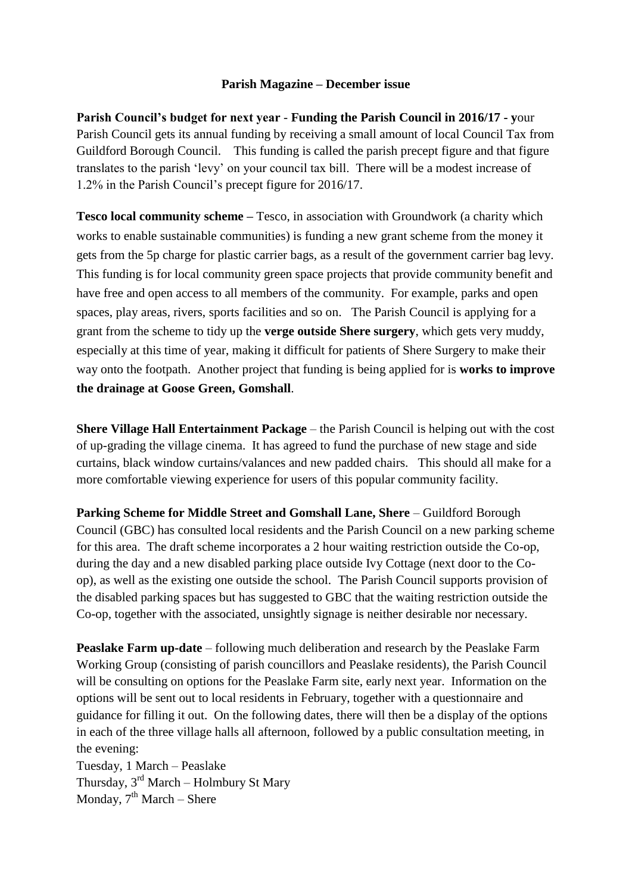## **Parish Magazine – December issue**

**Parish Council's budget for next year** - **Funding the Parish Council in 2016/17 - y**our Parish Council gets its annual funding by receiving a small amount of local Council Tax from Guildford Borough Council. This funding is called the parish precept figure and that figure translates to the parish 'levy' on your council tax bill. There will be a modest increase of 1.2% in the Parish Council's precept figure for 2016/17.

**Tesco local community scheme –** Tesco, in association with Groundwork (a charity which works to enable sustainable communities) is funding a new grant scheme from the money it gets from the 5p charge for plastic carrier bags, as a result of the government carrier bag levy. This funding is for local community green space projects that provide community benefit and have free and open access to all members of the community. For example, parks and open spaces, play areas, rivers, sports facilities and so on. The Parish Council is applying for a grant from the scheme to tidy up the **verge outside Shere surgery**, which gets very muddy, especially at this time of year, making it difficult for patients of Shere Surgery to make their way onto the footpath. Another project that funding is being applied for is **works to improve the drainage at Goose Green, Gomshall**.

**Shere Village Hall Entertainment Package** – the Parish Council is helping out with the cost of up-grading the village cinema. It has agreed to fund the purchase of new stage and side curtains, black window curtains/valances and new padded chairs. This should all make for a more comfortable viewing experience for users of this popular community facility.

**Parking Scheme for Middle Street and Gomshall Lane, Shere** – Guildford Borough Council (GBC) has consulted local residents and the Parish Council on a new parking scheme for this area. The draft scheme incorporates a 2 hour waiting restriction outside the Co-op, during the day and a new disabled parking place outside Ivy Cottage (next door to the Coop), as well as the existing one outside the school. The Parish Council supports provision of the disabled parking spaces but has suggested to GBC that the waiting restriction outside the Co-op, together with the associated, unsightly signage is neither desirable nor necessary.

**Peaslake Farm up-date** – following much deliberation and research by the Peaslake Farm Working Group (consisting of parish councillors and Peaslake residents), the Parish Council will be consulting on options for the Peaslake Farm site, early next year. Information on the options will be sent out to local residents in February, together with a questionnaire and guidance for filling it out. On the following dates, there will then be a display of the options in each of the three village halls all afternoon, followed by a public consultation meeting, in the evening:

Tuesday, 1 March – Peaslake Thursday, 3rd March – Holmbury St Mary Monday,  $7<sup>th</sup> March - Sher$